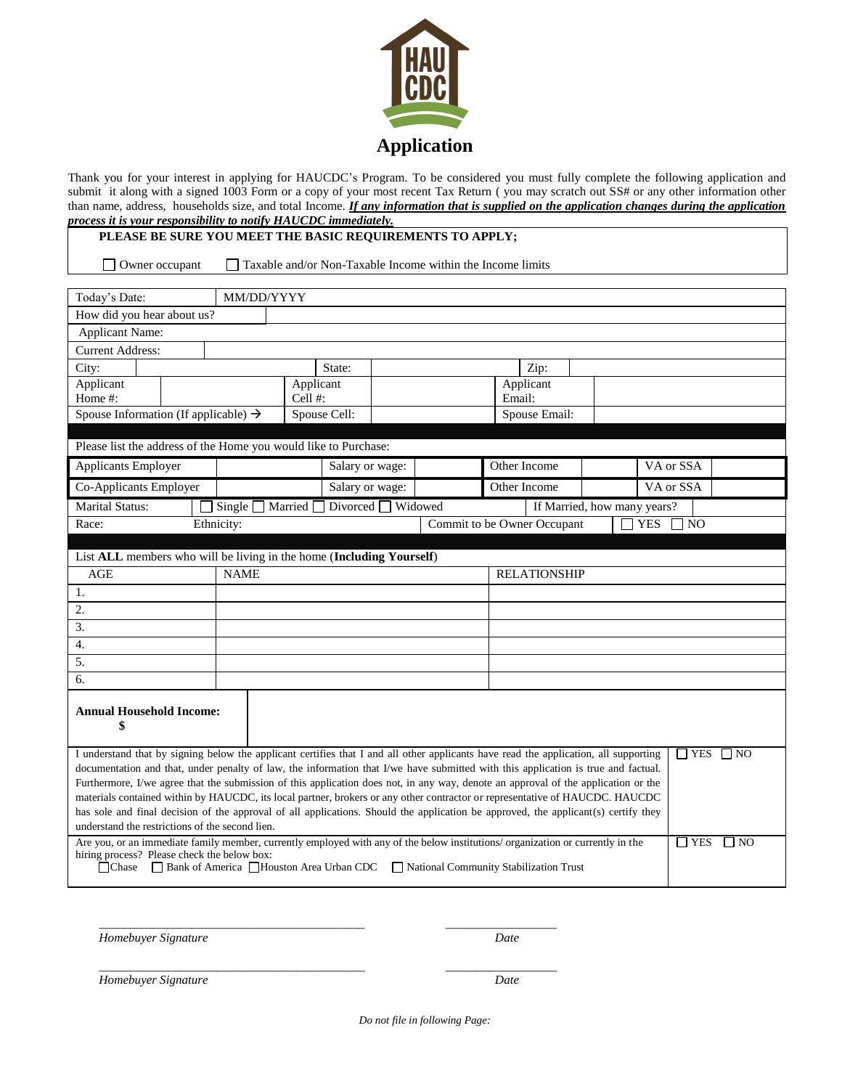

Thank you for your interest in applying for HAUCDC's Program. To be considered you must fully complete the following application and submit it along with a signed 1003 Form or a copy of your most recent Tax Return ( you may scratch out SS# or any other information other than name, address, households size, and total Income. *If any information that is supplied on the application changes during the application process it is your responsibility to notify HAUCDC immediately.*

## **PLEASE BE SURE YOU MEET THE BASIC REQUIREMENTS TO APPLY;**

□ Owner occupant □ Taxable and/or Non-Taxable Income within the Income limits

| Today's Date:                                                                                                                                                                                                                                                      | MM/DD/YYYY                   |                                                                                  |                 |  |                             |                     |  |            |           |  |  |
|--------------------------------------------------------------------------------------------------------------------------------------------------------------------------------------------------------------------------------------------------------------------|------------------------------|----------------------------------------------------------------------------------|-----------------|--|-----------------------------|---------------------|--|------------|-----------|--|--|
| How did you hear about us?                                                                                                                                                                                                                                         |                              |                                                                                  |                 |  |                             |                     |  |            |           |  |  |
| <b>Applicant Name:</b>                                                                                                                                                                                                                                             |                              |                                                                                  |                 |  |                             |                     |  |            |           |  |  |
| <b>Current Address:</b>                                                                                                                                                                                                                                            |                              |                                                                                  |                 |  |                             |                     |  |            |           |  |  |
| City:                                                                                                                                                                                                                                                              |                              |                                                                                  | State:          |  |                             | Zip:                |  |            |           |  |  |
| Applicant                                                                                                                                                                                                                                                          |                              |                                                                                  | Applicant       |  | Applicant                   |                     |  |            |           |  |  |
| Home #:                                                                                                                                                                                                                                                            |                              | Cell $#$ :                                                                       |                 |  |                             | Email:              |  |            |           |  |  |
| Spouse Information (If applicable) $\rightarrow$                                                                                                                                                                                                                   |                              |                                                                                  | Spouse Cell:    |  | Spouse Email:               |                     |  |            |           |  |  |
| Please list the address of the Home you would like to Purchase:                                                                                                                                                                                                    |                              |                                                                                  |                 |  |                             |                     |  |            |           |  |  |
| Applicants Employer                                                                                                                                                                                                                                                |                              |                                                                                  | Salary or wage: |  | Other Income                |                     |  |            | VA or SSA |  |  |
| Co-Applicants Employer                                                                                                                                                                                                                                             |                              |                                                                                  | Salary or wage: |  |                             | Other Income        |  |            | VA or SSA |  |  |
| <b>Marital Status:</b>                                                                                                                                                                                                                                             | $\overline{\text{Single}}$ [ | Divorced $\Box$ Widowed<br>Married <sup>[1]</sup><br>If Married, how many years? |                 |  |                             |                     |  |            |           |  |  |
| Race:                                                                                                                                                                                                                                                              | Ethnicity:                   |                                                                                  |                 |  | Commit to be Owner Occupant |                     |  | <b>YES</b> | $\neg$ NO |  |  |
|                                                                                                                                                                                                                                                                    |                              |                                                                                  |                 |  |                             |                     |  |            |           |  |  |
| List ALL members who will be living in the home (Including Yourself)                                                                                                                                                                                               |                              |                                                                                  |                 |  |                             |                     |  |            |           |  |  |
| <b>AGE</b>                                                                                                                                                                                                                                                         |                              | <b>NAME</b>                                                                      |                 |  |                             | <b>RELATIONSHIP</b> |  |            |           |  |  |
| 1.                                                                                                                                                                                                                                                                 |                              |                                                                                  |                 |  |                             |                     |  |            |           |  |  |
| 2.                                                                                                                                                                                                                                                                 |                              |                                                                                  |                 |  |                             |                     |  |            |           |  |  |
| 3.                                                                                                                                                                                                                                                                 |                              |                                                                                  |                 |  |                             |                     |  |            |           |  |  |
| 4.                                                                                                                                                                                                                                                                 |                              |                                                                                  |                 |  |                             |                     |  |            |           |  |  |
| 5.                                                                                                                                                                                                                                                                 |                              |                                                                                  |                 |  |                             |                     |  |            |           |  |  |
| 6.                                                                                                                                                                                                                                                                 |                              |                                                                                  |                 |  |                             |                     |  |            |           |  |  |
| <b>Annual Household Income:</b><br>\$                                                                                                                                                                                                                              |                              |                                                                                  |                 |  |                             |                     |  |            |           |  |  |
| I understand that by signing below the applicant certifies that I and all other applicants have read the application, all supporting<br>$\Box$ YES $\Box$ NO                                                                                                       |                              |                                                                                  |                 |  |                             |                     |  |            |           |  |  |
| documentation and that, under penalty of law, the information that I/we have submitted with this application is true and factual.                                                                                                                                  |                              |                                                                                  |                 |  |                             |                     |  |            |           |  |  |
| Furthermore, I/we agree that the submission of this application does not, in any way, denote an approval of the application or the                                                                                                                                 |                              |                                                                                  |                 |  |                             |                     |  |            |           |  |  |
| materials contained within by HAUCDC, its local partner, brokers or any other contractor or representative of HAUCDC. HAUCDC<br>has sole and final decision of the approval of all applications. Should the application be approved, the applicant(s) certify they |                              |                                                                                  |                 |  |                             |                     |  |            |           |  |  |
| understand the restrictions of the second lien.                                                                                                                                                                                                                    |                              |                                                                                  |                 |  |                             |                     |  |            |           |  |  |
| Are you, or an immediate family member, currently employed with any of the below institutions/organization or currently in the<br>$\Box$ YES<br>$\Box$ No                                                                                                          |                              |                                                                                  |                 |  |                             |                     |  |            |           |  |  |
| hiring process? Please check the below box:<br>□ Chase □ Bank of America □ Houston Area Urban CDC □ National Community Stabilization Trust                                                                                                                         |                              |                                                                                  |                 |  |                             |                     |  |            |           |  |  |

*Homebuyer Signature Date*

*\_\_\_\_\_\_\_\_\_\_\_\_\_\_\_\_\_\_\_\_\_\_\_\_\_\_\_\_\_\_\_\_\_\_\_\_\_\_\_\_\_\_\_ \_\_\_\_\_\_\_\_\_\_\_\_\_\_\_\_\_\_*

*Homebuyer Signature Date*

*Do not file in following Page:*

*\_\_\_\_\_\_\_\_\_\_\_\_\_\_\_\_\_\_\_\_\_\_\_\_\_\_\_\_\_\_\_\_\_\_\_\_\_\_\_\_\_\_\_ \_\_\_\_\_\_\_\_\_\_\_\_\_\_\_\_\_\_*